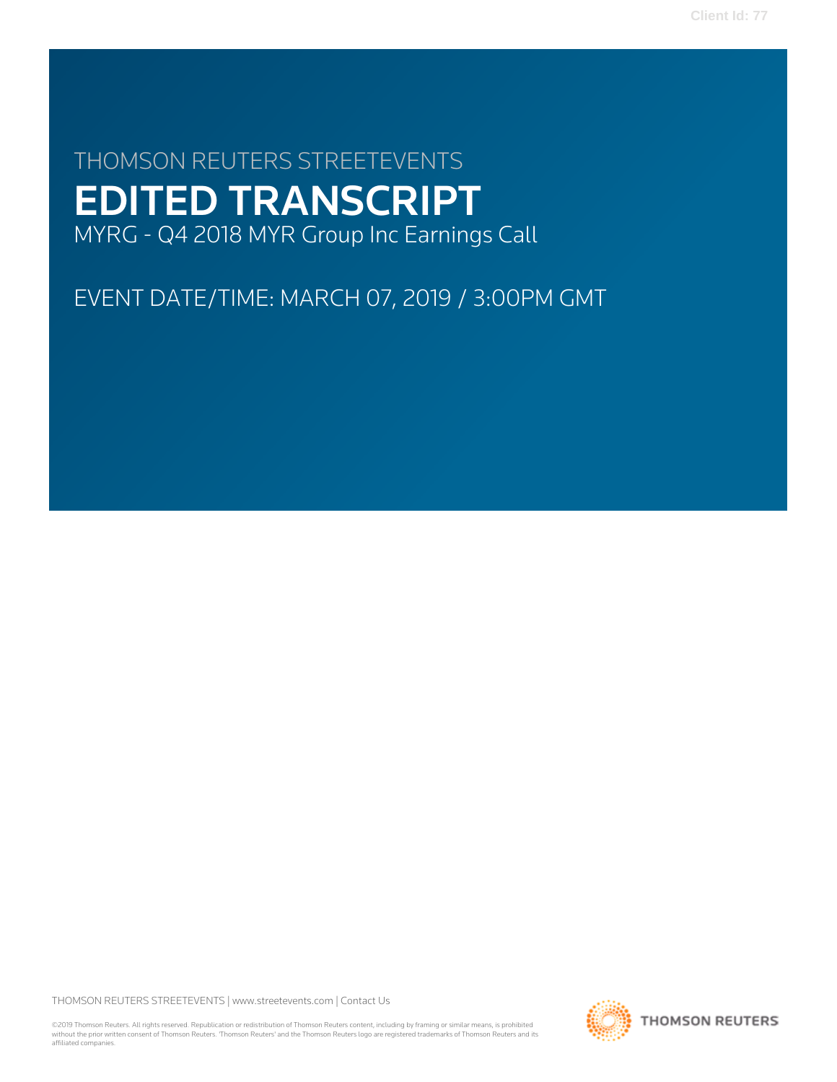# THOMSON REUTERS STREETEVENTS EDITED TRANSCRIPT MYRG - Q4 2018 MYR Group Inc Earnings Call

EVENT DATE/TIME: MARCH 07, 2019 / 3:00PM GMT

THOMSON REUTERS STREETEVENTS | [www.streetevents.com](http://www.streetevents.com) | [Contact Us](http://www010.streetevents.com/contact.asp)

©2019 Thomson Reuters. All rights reserved. Republication or redistribution of Thomson Reuters content, including by framing or similar means, is prohibited without the prior written consent of Thomson Reuters. 'Thomson Reuters' and the Thomson Reuters logo are registered trademarks of Thomson Reuters and its affiliated companies.

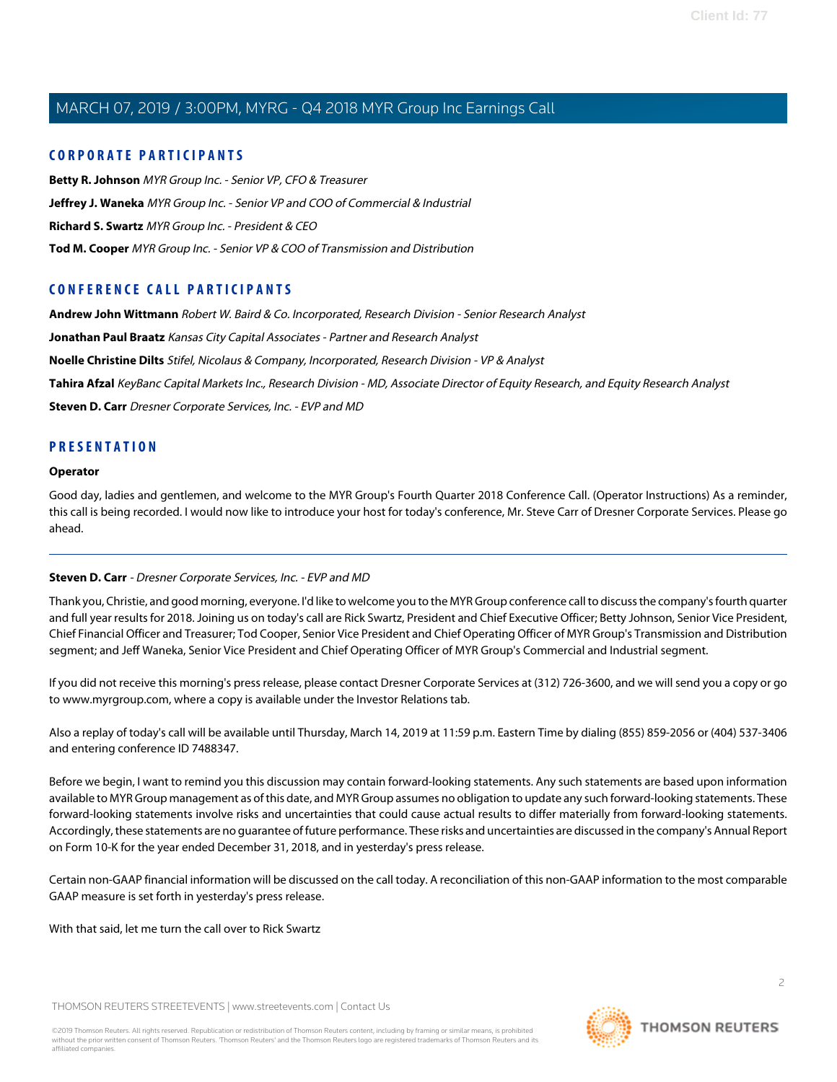## **CORPORATE PARTICIPANTS**

**[Betty R. Johnson](#page-2-0)** MYR Group Inc. - Senior VP, CFO & Treasurer **[Jeffrey J. Waneka](#page-5-0)** MYR Group Inc. - Senior VP and COO of Commercial & Industrial **[Richard S. Swartz](#page-2-1)** MYR Group Inc. - President & CEO **[Tod M. Cooper](#page-3-0)** MYR Group Inc. - Senior VP & COO of Transmission and Distribution

# **CONFERENCE CALL PARTICIPANTS**

**[Andrew John Wittmann](#page-7-0)** Robert W. Baird & Co. Incorporated, Research Division - Senior Research Analyst

**[Jonathan Paul Braatz](#page-10-0)** Kansas City Capital Associates - Partner and Research Analyst

**[Noelle Christine Dilts](#page-9-0)** Stifel, Nicolaus & Company, Incorporated, Research Division - VP & Analyst

**[Tahira Afzal](#page-6-0)** KeyBanc Capital Markets Inc., Research Division - MD, Associate Director of Equity Research, and Equity Research Analyst

**[Steven D. Carr](#page-1-0)** Dresner Corporate Services, Inc. - EVP and MD

## **PRESENTATION**

#### **Operator**

<span id="page-1-0"></span>Good day, ladies and gentlemen, and welcome to the MYR Group's Fourth Quarter 2018 Conference Call. (Operator Instructions) As a reminder, this call is being recorded. I would now like to introduce your host for today's conference, Mr. Steve Carr of Dresner Corporate Services. Please go ahead.

## **Steven D. Carr** - Dresner Corporate Services, Inc. - EVP and MD

Thank you, Christie, and good morning, everyone. I'd like to welcome you to the MYR Group conference call to discuss the company's fourth quarter and full year results for 2018. Joining us on today's call are Rick Swartz, President and Chief Executive Officer; Betty Johnson, Senior Vice President, Chief Financial Officer and Treasurer; Tod Cooper, Senior Vice President and Chief Operating Officer of MYR Group's Transmission and Distribution segment; and Jeff Waneka, Senior Vice President and Chief Operating Officer of MYR Group's Commercial and Industrial segment.

If you did not receive this morning's press release, please contact Dresner Corporate Services at (312) 726-3600, and we will send you a copy or go to www.myrgroup.com, where a copy is available under the Investor Relations tab.

Also a replay of today's call will be available until Thursday, March 14, 2019 at 11:59 p.m. Eastern Time by dialing (855) 859-2056 or (404) 537-3406 and entering conference ID 7488347.

Before we begin, I want to remind you this discussion may contain forward-looking statements. Any such statements are based upon information available to MYR Group management as of this date, and MYR Group assumes no obligation to update any such forward-looking statements. These forward-looking statements involve risks and uncertainties that could cause actual results to differ materially from forward-looking statements. Accordingly, these statements are no guarantee of future performance. These risks and uncertainties are discussed in the company's Annual Report on Form 10-K for the year ended December 31, 2018, and in yesterday's press release.

Certain non-GAAP financial information will be discussed on the call today. A reconciliation of this non-GAAP information to the most comparable GAAP measure is set forth in yesterday's press release.

With that said, let me turn the call over to Rick Swartz

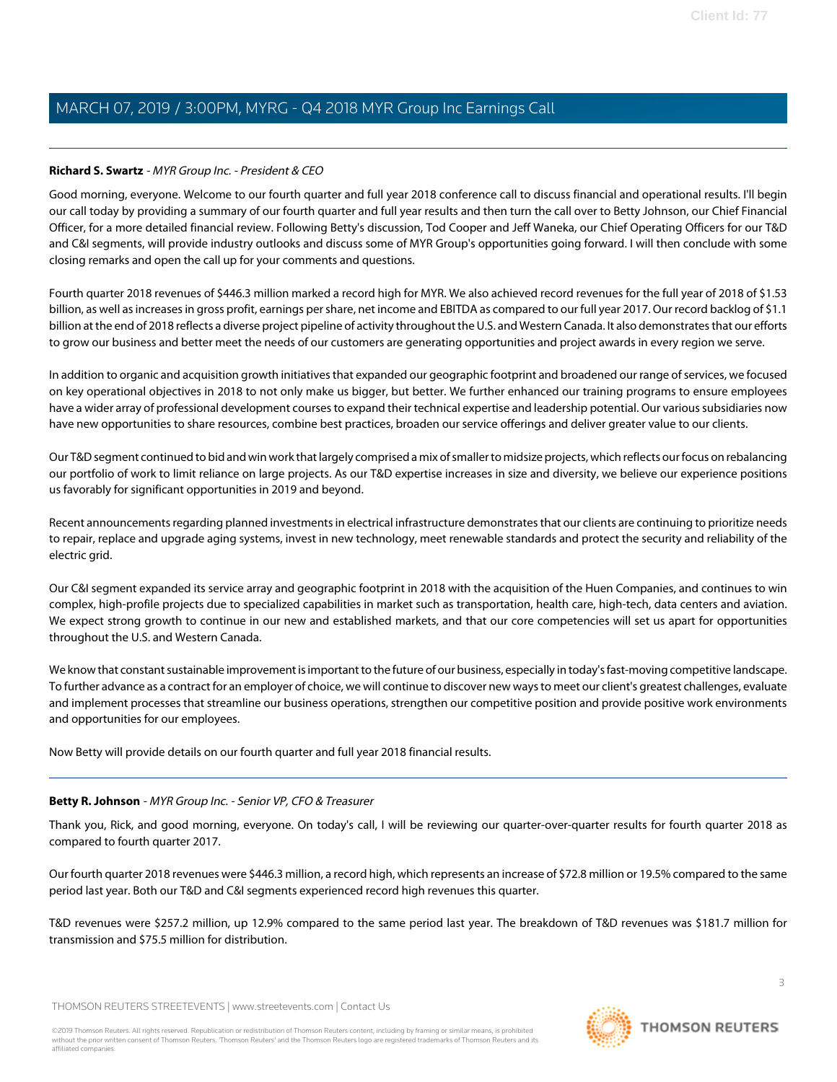## <span id="page-2-1"></span>**Richard S. Swartz** - MYR Group Inc. - President & CEO

Good morning, everyone. Welcome to our fourth quarter and full year 2018 conference call to discuss financial and operational results. I'll begin our call today by providing a summary of our fourth quarter and full year results and then turn the call over to Betty Johnson, our Chief Financial Officer, for a more detailed financial review. Following Betty's discussion, Tod Cooper and Jeff Waneka, our Chief Operating Officers for our T&D and C&I segments, will provide industry outlooks and discuss some of MYR Group's opportunities going forward. I will then conclude with some closing remarks and open the call up for your comments and questions.

Fourth quarter 2018 revenues of \$446.3 million marked a record high for MYR. We also achieved record revenues for the full year of 2018 of \$1.53 billion, as well as increases in gross profit, earnings per share, net income and EBITDA as compared to our full year 2017. Our record backlog of \$1.1 billion at the end of 2018 reflects a diverse project pipeline of activity throughout the U.S. and Western Canada. It also demonstrates that our efforts to grow our business and better meet the needs of our customers are generating opportunities and project awards in every region we serve.

In addition to organic and acquisition growth initiatives that expanded our geographic footprint and broadened our range of services, we focused on key operational objectives in 2018 to not only make us bigger, but better. We further enhanced our training programs to ensure employees have a wider array of professional development courses to expand their technical expertise and leadership potential. Our various subsidiaries now have new opportunities to share resources, combine best practices, broaden our service offerings and deliver greater value to our clients.

Our T&D segment continued to bid and win work that largely comprised a mix of smaller to midsize projects, which reflects our focus on rebalancing our portfolio of work to limit reliance on large projects. As our T&D expertise increases in size and diversity, we believe our experience positions us favorably for significant opportunities in 2019 and beyond.

Recent announcements regarding planned investments in electrical infrastructure demonstrates that our clients are continuing to prioritize needs to repair, replace and upgrade aging systems, invest in new technology, meet renewable standards and protect the security and reliability of the electric grid.

Our C&I segment expanded its service array and geographic footprint in 2018 with the acquisition of the Huen Companies, and continues to win complex, high-profile projects due to specialized capabilities in market such as transportation, health care, high-tech, data centers and aviation. We expect strong growth to continue in our new and established markets, and that our core competencies will set us apart for opportunities throughout the U.S. and Western Canada.

We know that constant sustainable improvement is important to the future of our business, especially in today's fast-moving competitive landscape. To further advance as a contract for an employer of choice, we will continue to discover new ways to meet our client's greatest challenges, evaluate and implement processes that streamline our business operations, strengthen our competitive position and provide positive work environments and opportunities for our employees.

<span id="page-2-0"></span>Now Betty will provide details on our fourth quarter and full year 2018 financial results.

#### **Betty R. Johnson** - MYR Group Inc. - Senior VP, CFO & Treasurer

Thank you, Rick, and good morning, everyone. On today's call, I will be reviewing our quarter-over-quarter results for fourth quarter 2018 as compared to fourth quarter 2017.

Our fourth quarter 2018 revenues were \$446.3 million, a record high, which represents an increase of \$72.8 million or 19.5% compared to the same period last year. Both our T&D and C&I segments experienced record high revenues this quarter.

T&D revenues were \$257.2 million, up 12.9% compared to the same period last year. The breakdown of T&D revenues was \$181.7 million for transmission and \$75.5 million for distribution.

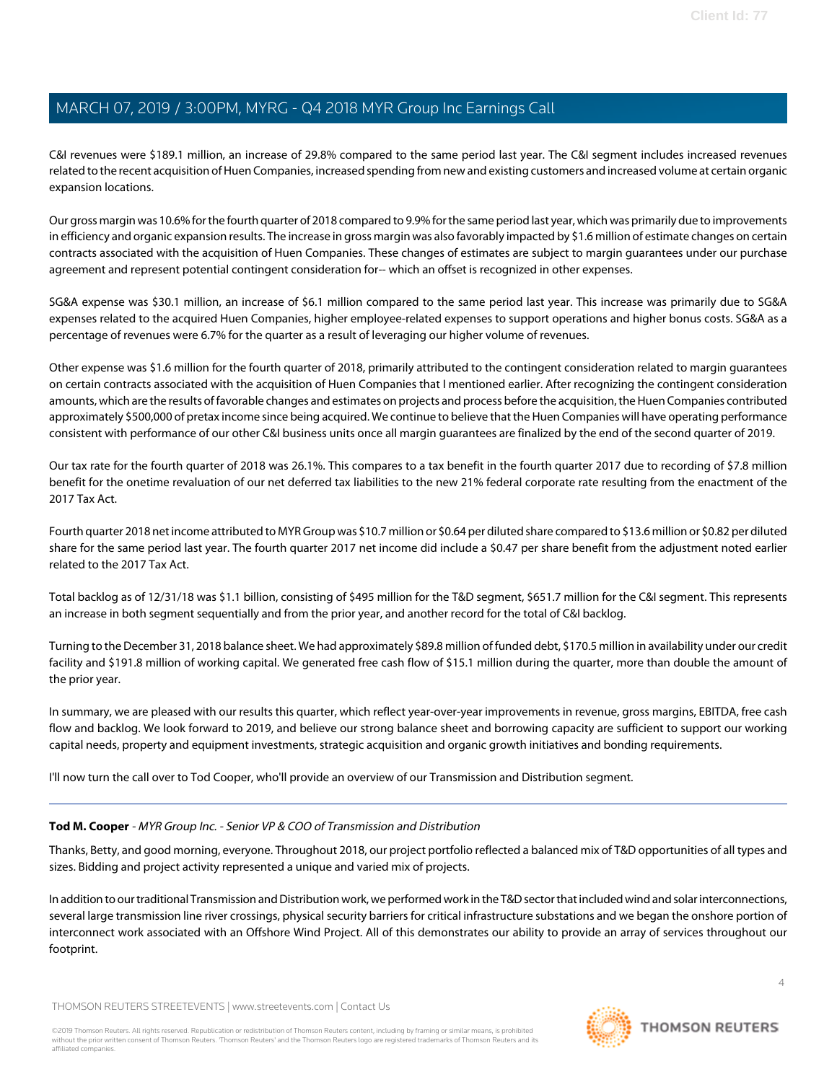C&I revenues were \$189.1 million, an increase of 29.8% compared to the same period last year. The C&I segment includes increased revenues related to the recent acquisition of Huen Companies, increased spending from new and existing customers and increased volume at certain organic expansion locations.

Our gross margin was 10.6% for the fourth quarter of 2018 compared to 9.9% for the same period last year, which was primarily due to improvements in efficiency and organic expansion results. The increase in gross margin was also favorably impacted by \$1.6 million of estimate changes on certain contracts associated with the acquisition of Huen Companies. These changes of estimates are subject to margin guarantees under our purchase agreement and represent potential contingent consideration for-- which an offset is recognized in other expenses.

SG&A expense was \$30.1 million, an increase of \$6.1 million compared to the same period last year. This increase was primarily due to SG&A expenses related to the acquired Huen Companies, higher employee-related expenses to support operations and higher bonus costs. SG&A as a percentage of revenues were 6.7% for the quarter as a result of leveraging our higher volume of revenues.

Other expense was \$1.6 million for the fourth quarter of 2018, primarily attributed to the contingent consideration related to margin guarantees on certain contracts associated with the acquisition of Huen Companies that I mentioned earlier. After recognizing the contingent consideration amounts, which are the results of favorable changes and estimates on projects and process before the acquisition, the Huen Companies contributed approximately \$500,000 of pretax income since being acquired. We continue to believe that the Huen Companies will have operating performance consistent with performance of our other C&I business units once all margin guarantees are finalized by the end of the second quarter of 2019.

Our tax rate for the fourth quarter of 2018 was 26.1%. This compares to a tax benefit in the fourth quarter 2017 due to recording of \$7.8 million benefit for the onetime revaluation of our net deferred tax liabilities to the new 21% federal corporate rate resulting from the enactment of the 2017 Tax Act.

Fourth quarter 2018 net income attributed to MYR Group was \$10.7 million or \$0.64 per diluted share compared to \$13.6 million or \$0.82 per diluted share for the same period last year. The fourth quarter 2017 net income did include a \$0.47 per share benefit from the adjustment noted earlier related to the 2017 Tax Act.

Total backlog as of 12/31/18 was \$1.1 billion, consisting of \$495 million for the T&D segment, \$651.7 million for the C&I segment. This represents an increase in both segment sequentially and from the prior year, and another record for the total of C&I backlog.

Turning to the December 31, 2018 balance sheet. We had approximately \$89.8 million of funded debt, \$170.5 million in availability under our credit facility and \$191.8 million of working capital. We generated free cash flow of \$15.1 million during the quarter, more than double the amount of the prior year.

<span id="page-3-0"></span>In summary, we are pleased with our results this quarter, which reflect year-over-year improvements in revenue, gross margins, EBITDA, free cash flow and backlog. We look forward to 2019, and believe our strong balance sheet and borrowing capacity are sufficient to support our working capital needs, property and equipment investments, strategic acquisition and organic growth initiatives and bonding requirements.

I'll now turn the call over to Tod Cooper, who'll provide an overview of our Transmission and Distribution segment.

## **Tod M. Cooper** - MYR Group Inc. - Senior VP & COO of Transmission and Distribution

Thanks, Betty, and good morning, everyone. Throughout 2018, our project portfolio reflected a balanced mix of T&D opportunities of all types and sizes. Bidding and project activity represented a unique and varied mix of projects.

In addition to our traditional Transmission and Distribution work, we performed work in the T&D sector that included wind and solar interconnections, several large transmission line river crossings, physical security barriers for critical infrastructure substations and we began the onshore portion of interconnect work associated with an Offshore Wind Project. All of this demonstrates our ability to provide an array of services throughout our footprint.

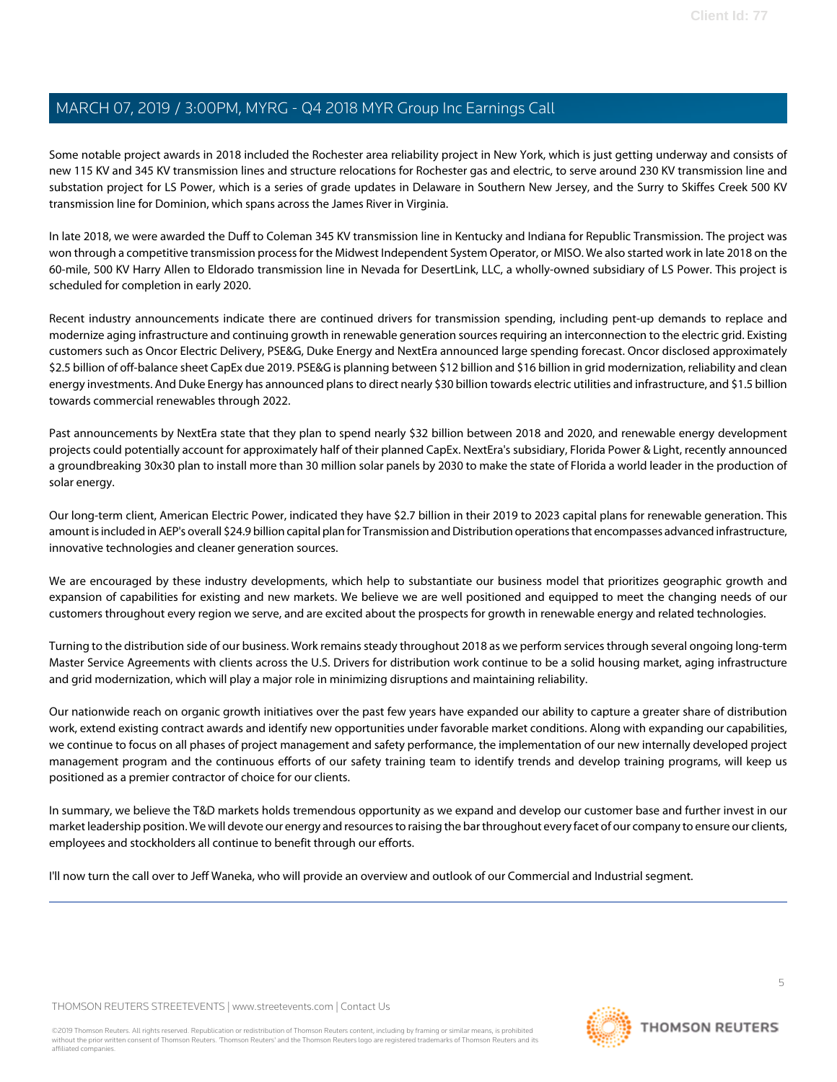Some notable project awards in 2018 included the Rochester area reliability project in New York, which is just getting underway and consists of new 115 KV and 345 KV transmission lines and structure relocations for Rochester gas and electric, to serve around 230 KV transmission line and substation project for LS Power, which is a series of grade updates in Delaware in Southern New Jersey, and the Surry to Skiffes Creek 500 KV transmission line for Dominion, which spans across the James River in Virginia.

In late 2018, we were awarded the Duff to Coleman 345 KV transmission line in Kentucky and Indiana for Republic Transmission. The project was won through a competitive transmission process for the Midwest Independent System Operator, or MISO. We also started work in late 2018 on the 60-mile, 500 KV Harry Allen to Eldorado transmission line in Nevada for DesertLink, LLC, a wholly-owned subsidiary of LS Power. This project is scheduled for completion in early 2020.

Recent industry announcements indicate there are continued drivers for transmission spending, including pent-up demands to replace and modernize aging infrastructure and continuing growth in renewable generation sources requiring an interconnection to the electric grid. Existing customers such as Oncor Electric Delivery, PSE&G, Duke Energy and NextEra announced large spending forecast. Oncor disclosed approximately \$2.5 billion of off-balance sheet CapEx due 2019. PSE&G is planning between \$12 billion and \$16 billion in grid modernization, reliability and clean energy investments. And Duke Energy has announced plans to direct nearly \$30 billion towards electric utilities and infrastructure, and \$1.5 billion towards commercial renewables through 2022.

Past announcements by NextEra state that they plan to spend nearly \$32 billion between 2018 and 2020, and renewable energy development projects could potentially account for approximately half of their planned CapEx. NextEra's subsidiary, Florida Power & Light, recently announced a groundbreaking 30x30 plan to install more than 30 million solar panels by 2030 to make the state of Florida a world leader in the production of solar energy.

Our long-term client, American Electric Power, indicated they have \$2.7 billion in their 2019 to 2023 capital plans for renewable generation. This amount is included in AEP's overall \$24.9 billion capital plan for Transmission and Distribution operations that encompasses advanced infrastructure, innovative technologies and cleaner generation sources.

We are encouraged by these industry developments, which help to substantiate our business model that prioritizes geographic growth and expansion of capabilities for existing and new markets. We believe we are well positioned and equipped to meet the changing needs of our customers throughout every region we serve, and are excited about the prospects for growth in renewable energy and related technologies.

Turning to the distribution side of our business. Work remains steady throughout 2018 as we perform services through several ongoing long-term Master Service Agreements with clients across the U.S. Drivers for distribution work continue to be a solid housing market, aging infrastructure and grid modernization, which will play a major role in minimizing disruptions and maintaining reliability.

Our nationwide reach on organic growth initiatives over the past few years have expanded our ability to capture a greater share of distribution work, extend existing contract awards and identify new opportunities under favorable market conditions. Along with expanding our capabilities, we continue to focus on all phases of project management and safety performance, the implementation of our new internally developed project management program and the continuous efforts of our safety training team to identify trends and develop training programs, will keep us positioned as a premier contractor of choice for our clients.

In summary, we believe the T&D markets holds tremendous opportunity as we expand and develop our customer base and further invest in our market leadership position. We will devote our energy and resources to raising the bar throughout every facet of our company to ensure our clients, employees and stockholders all continue to benefit through our efforts.

I'll now turn the call over to Jeff Waneka, who will provide an overview and outlook of our Commercial and Industrial segment.

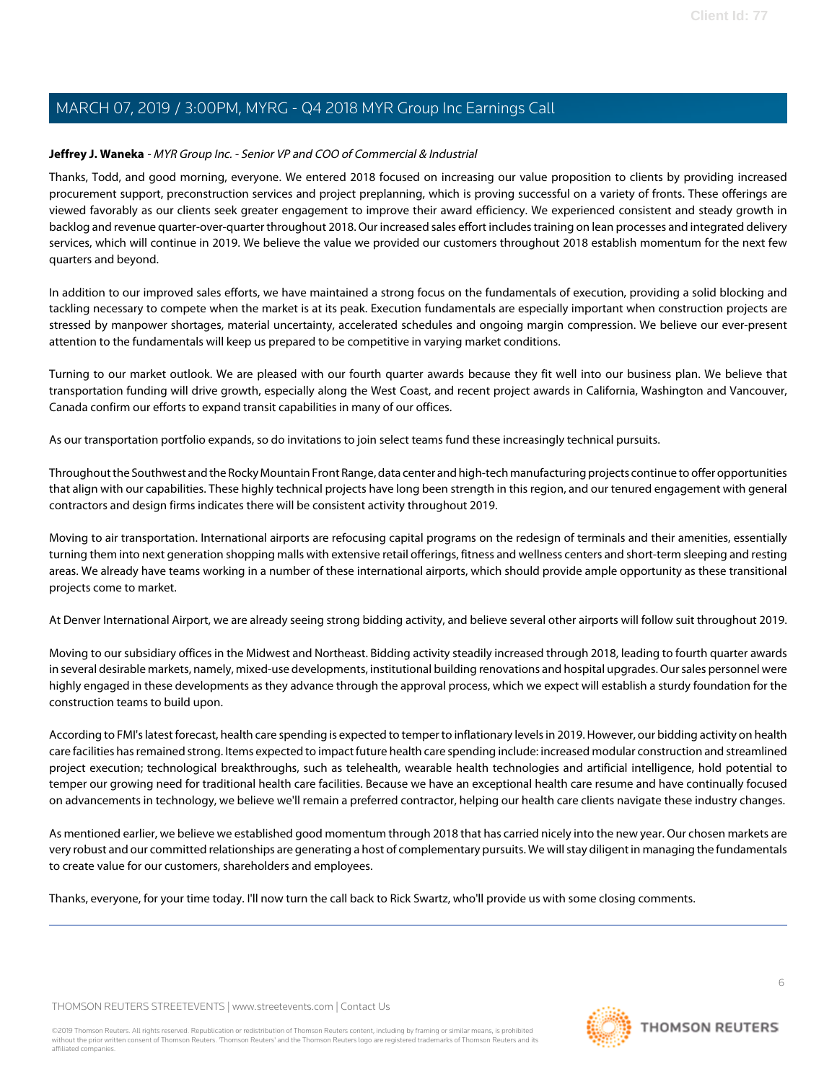## <span id="page-5-0"></span>**Jeffrey J. Waneka** - MYR Group Inc. - Senior VP and COO of Commercial & Industrial

Thanks, Todd, and good morning, everyone. We entered 2018 focused on increasing our value proposition to clients by providing increased procurement support, preconstruction services and project preplanning, which is proving successful on a variety of fronts. These offerings are viewed favorably as our clients seek greater engagement to improve their award efficiency. We experienced consistent and steady growth in backlog and revenue quarter-over-quarter throughout 2018. Our increased sales effort includes training on lean processes and integrated delivery services, which will continue in 2019. We believe the value we provided our customers throughout 2018 establish momentum for the next few quarters and beyond.

In addition to our improved sales efforts, we have maintained a strong focus on the fundamentals of execution, providing a solid blocking and tackling necessary to compete when the market is at its peak. Execution fundamentals are especially important when construction projects are stressed by manpower shortages, material uncertainty, accelerated schedules and ongoing margin compression. We believe our ever-present attention to the fundamentals will keep us prepared to be competitive in varying market conditions.

Turning to our market outlook. We are pleased with our fourth quarter awards because they fit well into our business plan. We believe that transportation funding will drive growth, especially along the West Coast, and recent project awards in California, Washington and Vancouver, Canada confirm our efforts to expand transit capabilities in many of our offices.

As our transportation portfolio expands, so do invitations to join select teams fund these increasingly technical pursuits.

Throughout the Southwest and the Rocky Mountain Front Range, data center and high-tech manufacturing projects continue to offer opportunities that align with our capabilities. These highly technical projects have long been strength in this region, and our tenured engagement with general contractors and design firms indicates there will be consistent activity throughout 2019.

Moving to air transportation. International airports are refocusing capital programs on the redesign of terminals and their amenities, essentially turning them into next generation shopping malls with extensive retail offerings, fitness and wellness centers and short-term sleeping and resting areas. We already have teams working in a number of these international airports, which should provide ample opportunity as these transitional projects come to market.

At Denver International Airport, we are already seeing strong bidding activity, and believe several other airports will follow suit throughout 2019.

Moving to our subsidiary offices in the Midwest and Northeast. Bidding activity steadily increased through 2018, leading to fourth quarter awards in several desirable markets, namely, mixed-use developments, institutional building renovations and hospital upgrades. Our sales personnel were highly engaged in these developments as they advance through the approval process, which we expect will establish a sturdy foundation for the construction teams to build upon.

According to FMI's latest forecast, health care spending is expected to temper to inflationary levels in 2019. However, our bidding activity on health care facilities has remained strong. Items expected to impact future health care spending include: increased modular construction and streamlined project execution; technological breakthroughs, such as telehealth, wearable health technologies and artificial intelligence, hold potential to temper our growing need for traditional health care facilities. Because we have an exceptional health care resume and have continually focused on advancements in technology, we believe we'll remain a preferred contractor, helping our health care clients navigate these industry changes.

As mentioned earlier, we believe we established good momentum through 2018 that has carried nicely into the new year. Our chosen markets are very robust and our committed relationships are generating a host of complementary pursuits. We will stay diligent in managing the fundamentals to create value for our customers, shareholders and employees.

Thanks, everyone, for your time today. I'll now turn the call back to Rick Swartz, who'll provide us with some closing comments.

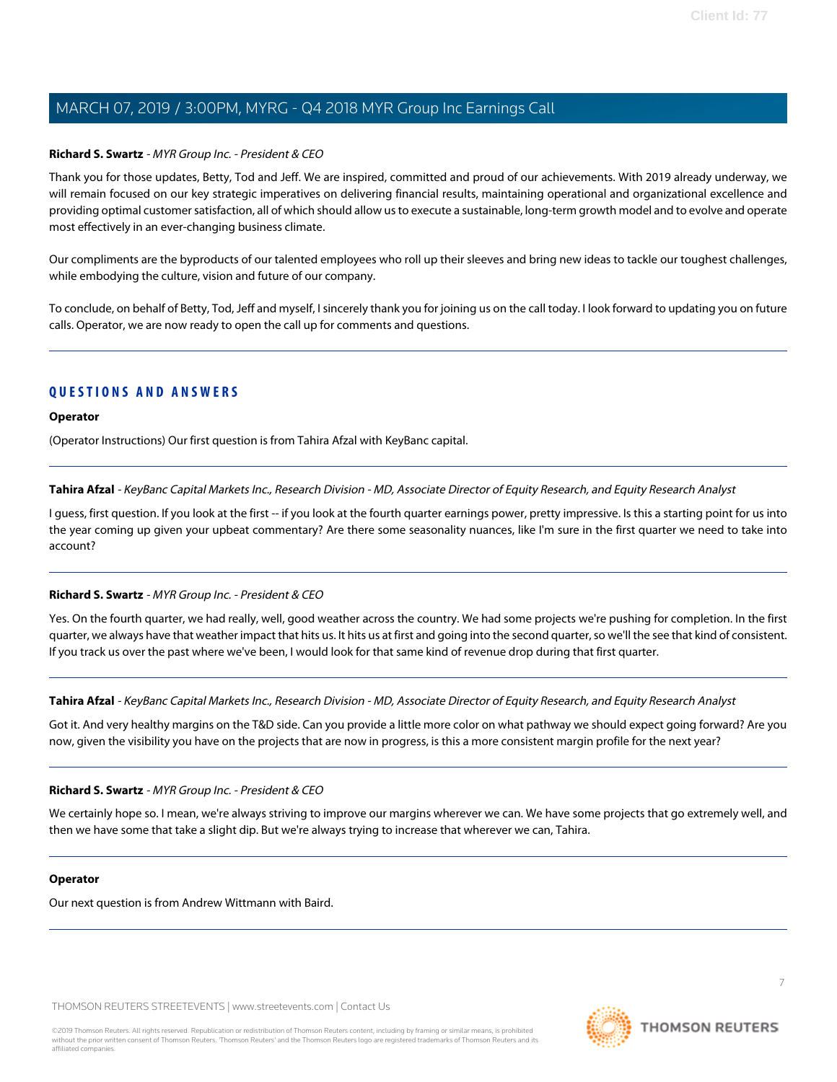#### **Richard S. Swartz** - MYR Group Inc. - President & CEO

Thank you for those updates, Betty, Tod and Jeff. We are inspired, committed and proud of our achievements. With 2019 already underway, we will remain focused on our key strategic imperatives on delivering financial results, maintaining operational and organizational excellence and providing optimal customer satisfaction, all of which should allow us to execute a sustainable, long-term growth model and to evolve and operate most effectively in an ever-changing business climate.

Our compliments are the byproducts of our talented employees who roll up their sleeves and bring new ideas to tackle our toughest challenges, while embodying the culture, vision and future of our company.

To conclude, on behalf of Betty, Tod, Jeff and myself, I sincerely thank you for joining us on the call today. I look forward to updating you on future calls. Operator, we are now ready to open the call up for comments and questions.

## **QUESTIONS AND ANSWERS**

#### **Operator**

<span id="page-6-0"></span>(Operator Instructions) Our first question is from Tahira Afzal with KeyBanc capital.

**Tahira Afzal** - KeyBanc Capital Markets Inc., Research Division - MD, Associate Director of Equity Research, and Equity Research Analyst

I quess, first question. If you look at the first -- if you look at the fourth quarter earnings power, pretty impressive. Is this a starting point for us into the year coming up given your upbeat commentary? Are there some seasonality nuances, like I'm sure in the first quarter we need to take into account?

#### **Richard S. Swartz** - MYR Group Inc. - President & CEO

Yes. On the fourth quarter, we had really, well, good weather across the country. We had some projects we're pushing for completion. In the first quarter, we always have that weather impact that hits us. It hits us at first and going into the second quarter, so we'll the see that kind of consistent. If you track us over the past where we've been, I would look for that same kind of revenue drop during that first quarter.

**Tahira Afzal** - KeyBanc Capital Markets Inc., Research Division - MD, Associate Director of Equity Research, and Equity Research Analyst

Got it. And very healthy margins on the T&D side. Can you provide a little more color on what pathway we should expect going forward? Are you now, given the visibility you have on the projects that are now in progress, is this a more consistent margin profile for the next year?

#### **Richard S. Swartz** - MYR Group Inc. - President & CEO

We certainly hope so. I mean, we're always striving to improve our margins wherever we can. We have some projects that go extremely well, and then we have some that take a slight dip. But we're always trying to increase that wherever we can, Tahira.

#### **Operator**

Our next question is from Andrew Wittmann with Baird.

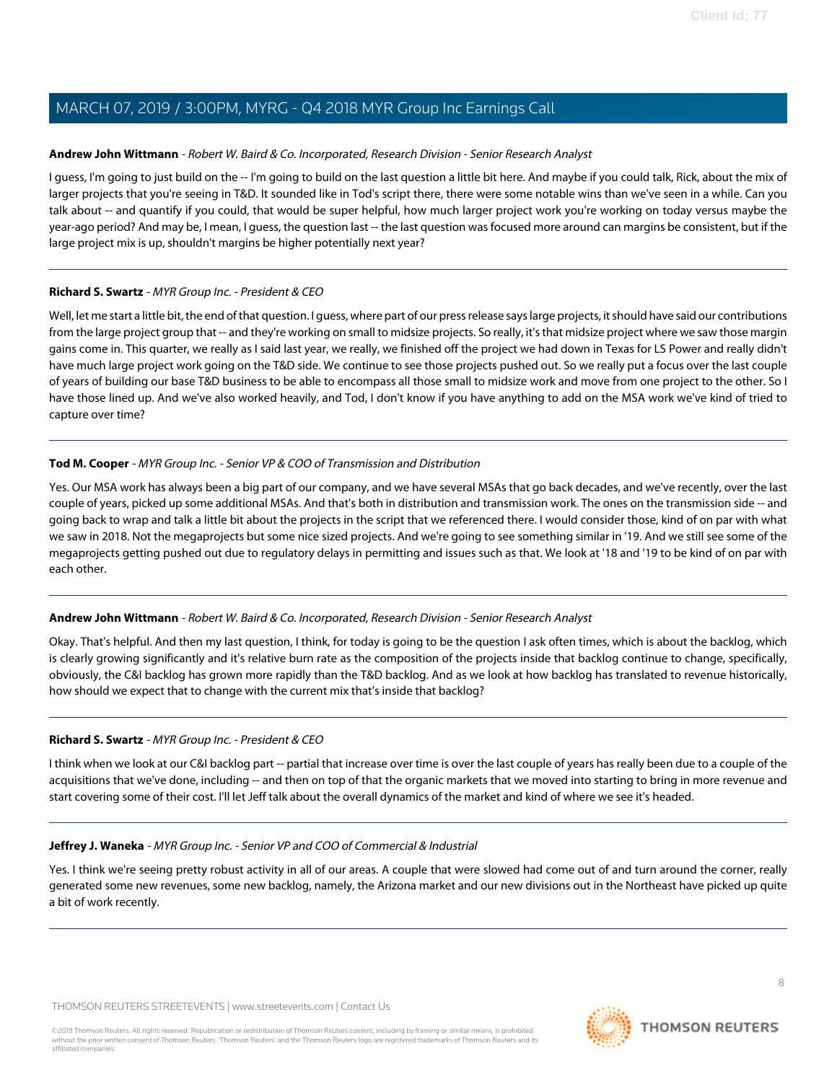#### <span id="page-7-0"></span>**Andrew John Wittmann** - Robert W. Baird & Co. Incorporated, Research Division - Senior Research Analyst

I guess, I'm going to just build on the -- I'm going to build on the last question a little bit here. And maybe if you could talk, Rick, about the mix of larger projects that you're seeing in T&D. It sounded like in Tod's script there, there were some notable wins than we've seen in a while. Can you talk about -- and quantify if you could, that would be super helpful, how much larger project work you're working on today versus maybe the year-ago period? And may be, I mean, I guess, the question last -- the last question was focused more around can margins be consistent, but if the large project mix is up, shouldn't margins be higher potentially next year?

#### **Richard S. Swartz** - MYR Group Inc. - President & CEO

Well, let me start a little bit, the end of that question. I quess, where part of our press release says large projects, it should have said our contributions from the large project group that -- and they're working on small to midsize projects. So really, it's that midsize project where we saw those margin gains come in. This quarter, we really as I said last year, we really, we finished off the project we had down in Texas for LS Power and really didn't have much large project work going on the T&D side. We continue to see those projects pushed out. So we really put a focus over the last couple of years of building our base T&D business to be able to encompass all those small to midsize work and move from one project to the other. So I have those lined up. And we've also worked heavily, and Tod, I don't know if you have anything to add on the MSA work we've kind of tried to capture over time?

#### **Tod M. Cooper** - MYR Group Inc. - Senior VP & COO of Transmission and Distribution

Yes. Our MSA work has always been a big part of our company, and we have several MSAs that go back decades, and we've recently, over the last couple of years, picked up some additional MSAs. And that's both in distribution and transmission work. The ones on the transmission side -- and going back to wrap and talk a little bit about the projects in the script that we referenced there. I would consider those, kind of on par with what we saw in 2018. Not the megaprojects but some nice sized projects. And we're going to see something similar in '19. And we still see some of the megaprojects getting pushed out due to regulatory delays in permitting and issues such as that. We look at '18 and '19 to be kind of on par with each other.

## **Andrew John Wittmann** - Robert W. Baird & Co. Incorporated, Research Division - Senior Research Analyst

Okay. That's helpful. And then my last question, I think, for today is going to be the question I ask often times, which is about the backlog, which is clearly growing significantly and it's relative burn rate as the composition of the projects inside that backlog continue to change, specifically, obviously, the C&I backlog has grown more rapidly than the T&D backlog. And as we look at how backlog has translated to revenue historically, how should we expect that to change with the current mix that's inside that backlog?

#### **Richard S. Swartz** - MYR Group Inc. - President & CEO

I think when we look at our C&I backlog part -- partial that increase over time is over the last couple of years has really been due to a couple of the acquisitions that we've done, including -- and then on top of that the organic markets that we moved into starting to bring in more revenue and start covering some of their cost. I'll let Jeff talk about the overall dynamics of the market and kind of where we see it's headed.

## **Jeffrey J. Waneka** - MYR Group Inc. - Senior VP and COO of Commercial & Industrial

Yes. I think we're seeing pretty robust activity in all of our areas. A couple that were slowed had come out of and turn around the corner, really generated some new revenues, some new backlog, namely, the Arizona market and our new divisions out in the Northeast have picked up quite a bit of work recently.

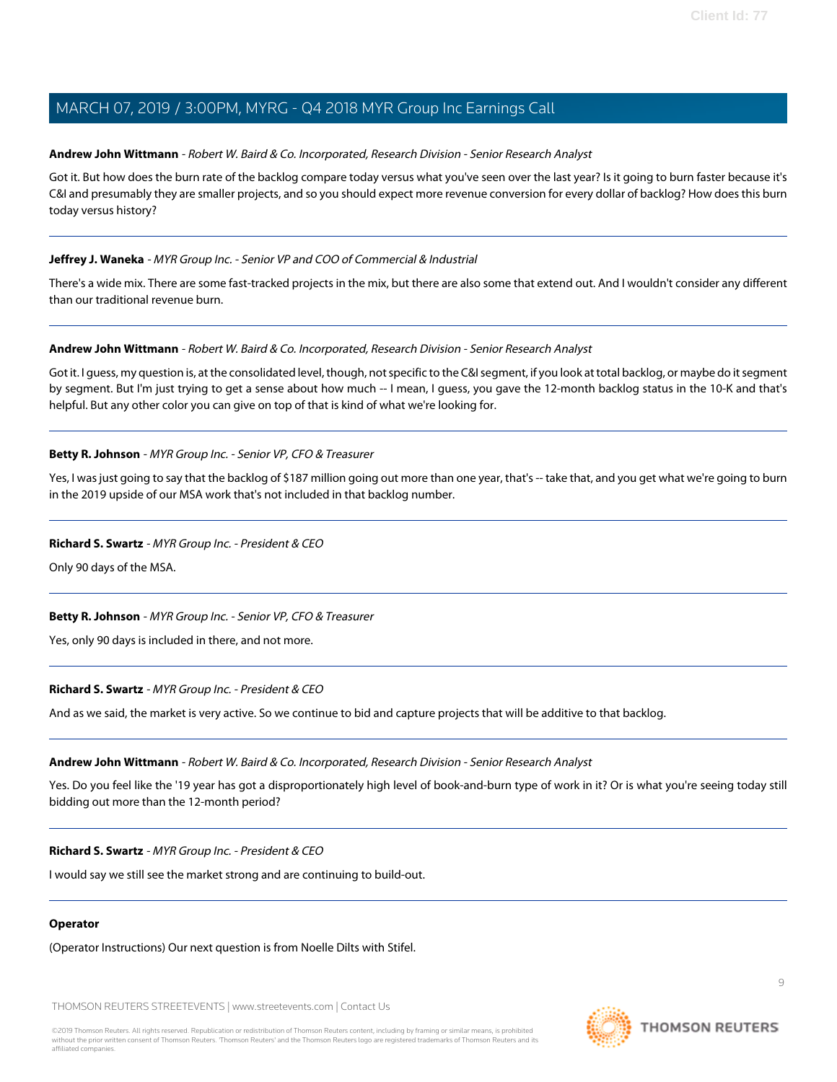#### **Andrew John Wittmann** - Robert W. Baird & Co. Incorporated, Research Division - Senior Research Analyst

Got it. But how does the burn rate of the backlog compare today versus what you've seen over the last year? Is it going to burn faster because it's C&I and presumably they are smaller projects, and so you should expect more revenue conversion for every dollar of backlog? How does this burn today versus history?

#### **Jeffrey J. Waneka** - MYR Group Inc. - Senior VP and COO of Commercial & Industrial

There's a wide mix. There are some fast-tracked projects in the mix, but there are also some that extend out. And I wouldn't consider any different than our traditional revenue burn.

#### **Andrew John Wittmann** - Robert W. Baird & Co. Incorporated, Research Division - Senior Research Analyst

Got it. I guess, my question is, at the consolidated level, though, not specific to the C&I segment, if you look at total backlog, or maybe do it segment by segment. But I'm just trying to get a sense about how much -- I mean, I guess, you gave the 12-month backlog status in the 10-K and that's helpful. But any other color you can give on top of that is kind of what we're looking for.

#### **Betty R. Johnson** - MYR Group Inc. - Senior VP, CFO & Treasurer

Yes, I was just going to say that the backlog of \$187 million going out more than one year, that's -- take that, and you get what we're going to burn in the 2019 upside of our MSA work that's not included in that backlog number.

#### **Richard S. Swartz** - MYR Group Inc. - President & CEO

Only 90 days of the MSA.

## **Betty R. Johnson** - MYR Group Inc. - Senior VP, CFO & Treasurer

Yes, only 90 days is included in there, and not more.

#### **Richard S. Swartz** - MYR Group Inc. - President & CEO

And as we said, the market is very active. So we continue to bid and capture projects that will be additive to that backlog.

#### **Andrew John Wittmann** - Robert W. Baird & Co. Incorporated, Research Division - Senior Research Analyst

Yes. Do you feel like the '19 year has got a disproportionately high level of book-and-burn type of work in it? Or is what you're seeing today still bidding out more than the 12-month period?

#### **Richard S. Swartz** - MYR Group Inc. - President & CEO

I would say we still see the market strong and are continuing to build-out.

#### **Operator**

(Operator Instructions) Our next question is from Noelle Dilts with Stifel.

THOMSON REUTERS STREETEVENTS | [www.streetevents.com](http://www.streetevents.com) | [Contact Us](http://www010.streetevents.com/contact.asp)

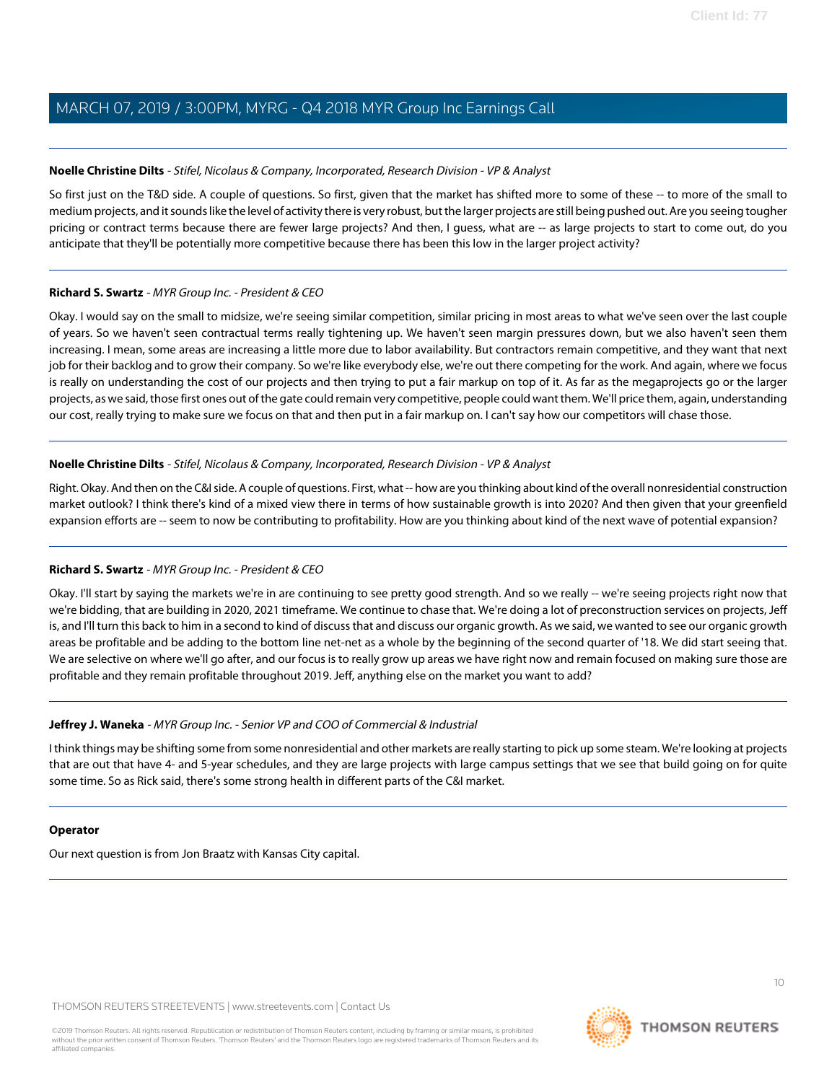#### <span id="page-9-0"></span>**Noelle Christine Dilts** - Stifel, Nicolaus & Company, Incorporated, Research Division - VP & Analyst

So first just on the T&D side. A couple of questions. So first, given that the market has shifted more to some of these -- to more of the small to medium projects, and it sounds like the level of activity there is very robust, but the larger projects are still being pushed out. Are you seeing tougher pricing or contract terms because there are fewer large projects? And then, I guess, what are -- as large projects to start to come out, do you anticipate that they'll be potentially more competitive because there has been this low in the larger project activity?

#### **Richard S. Swartz** - MYR Group Inc. - President & CEO

Okay. I would say on the small to midsize, we're seeing similar competition, similar pricing in most areas to what we've seen over the last couple of years. So we haven't seen contractual terms really tightening up. We haven't seen margin pressures down, but we also haven't seen them increasing. I mean, some areas are increasing a little more due to labor availability. But contractors remain competitive, and they want that next job for their backlog and to grow their company. So we're like everybody else, we're out there competing for the work. And again, where we focus is really on understanding the cost of our projects and then trying to put a fair markup on top of it. As far as the megaprojects go or the larger projects, as we said, those first ones out of the gate could remain very competitive, people could want them. We'll price them, again, understanding our cost, really trying to make sure we focus on that and then put in a fair markup on. I can't say how our competitors will chase those.

#### **Noelle Christine Dilts** - Stifel, Nicolaus & Company, Incorporated, Research Division - VP & Analyst

Right. Okay. And then on the C&I side. A couple of questions. First, what -- how are you thinking about kind of the overall nonresidential construction market outlook? I think there's kind of a mixed view there in terms of how sustainable growth is into 2020? And then given that your greenfield expansion efforts are -- seem to now be contributing to profitability. How are you thinking about kind of the next wave of potential expansion?

## **Richard S. Swartz** - MYR Group Inc. - President & CEO

Okay. I'll start by saying the markets we're in are continuing to see pretty good strength. And so we really -- we're seeing projects right now that we're bidding, that are building in 2020, 2021 timeframe. We continue to chase that. We're doing a lot of preconstruction services on projects, Jeff is, and I'll turn this back to him in a second to kind of discuss that and discuss our organic growth. As we said, we wanted to see our organic growth areas be profitable and be adding to the bottom line net-net as a whole by the beginning of the second quarter of '18. We did start seeing that. We are selective on where we'll go after, and our focus is to really grow up areas we have right now and remain focused on making sure those are profitable and they remain profitable throughout 2019. Jeff, anything else on the market you want to add?

## **Jeffrey J. Waneka** - MYR Group Inc. - Senior VP and COO of Commercial & Industrial

I think things may be shifting some from some nonresidential and other markets are really starting to pick up some steam. We're looking at projects that are out that have 4- and 5-year schedules, and they are large projects with large campus settings that we see that build going on for quite some time. So as Rick said, there's some strong health in different parts of the C&I market.

#### **Operator**

Our next question is from Jon Braatz with Kansas City capital.